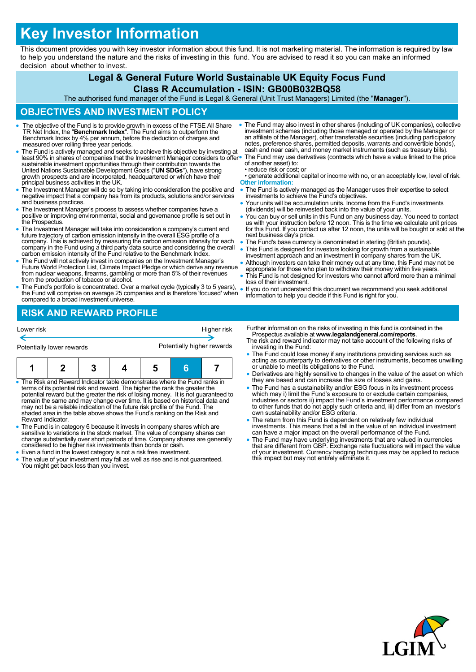# **Key Investor Information**

This document provides you with key investor information about this fund. It is not marketing material. The information is required by law to help you understand the nature and the risks of investing in this fund. You are advised to read it so you can make an informed decision about whether to invest.

## **Legal & General Future World Sustainable UK Equity Focus Fund**

#### **Class R Accumulation - ISIN: GB00B032BQ58**

The authorised fund manager of the Fund is Legal & General (Unit Trust Managers) Limited (the "**Manager**").

#### **OBJECTIVES AND INVESTMENT POLICY**

- The objective of the Fund is to provide growth in excess of the FTSE All Share TR Net Index, the "**Benchmark Index**". The Fund aims to outperform the Benchmark Index by 4% per annum, before the deduction of charges and measured over rolling three year periods.
- The Fund is actively managed and seeks to achieve this objective by investing at least 90% in shares of companies that the Investment Manager considers to offer<br>sustainable investment opportunities through their contribution towards the<br>United Nations Sustainable Development Goals ("**UN SDGs**"), have s growth prospects and are incorporated, headquartered or which have their principal business activities in the UK.
- The Investment Manager will do so by taking into consideration the positive and negative impact that a company has from its products, solutions and/or services and business practices.
- The Investment Manager's process to assess whether companies have a positive or improving environmental, social and governance profile is set out in the Prospectus.
- The Investment Manager will take into consideration a company's current and future trajectory of carbon emission intensity in the overall ESG profile of a company. This is achieved by measuring the carbon emission intensity for each company in the Fund using a third party data source and considering the overall carbon emission intensity of the Fund relative to the Benchmark Index.
- The Fund will not actively invest in companies on the Investment Manager's Future World Protection List, Climate Impact Pledge or which derive any revenue from nuclear weapons, firearms, gambling or more than 5% of their revenues from the production of tobacco or alcohol.
- The Fund's portfolio is concentrated. Over a market cycle (typically 3 to 5 years), the Fund will comprise on average 25 companies and is therefore 'focused' when compared to a broad investment universe.
	- **RISK AND REWARD PROFILE**

Lower risk Higher risk Potentially lower rewards **Potentially higher rewards 1 2 3 4 5 6 7**

 The Risk and Reward Indicator table demonstrates where the Fund ranks in terms of its potential risk and reward. The higher the rank the greater the<br>potential reward but the greater the risk of losing money. It is not guaranteed to<br>remain the same and may change over time. It is based on histor shaded area in the table above shows the Fund's ranking on the Risk and Reward Indicator.

- The Fund is in category 6 because it invests in company shares which are<br>sensitive to variations in the stock market. The value of company shares can<br>change substantially over short periods of time. Company shares are ge considered to be higher risk investments than bonds or cash.
- Even a fund in the lowest category is not a risk free investment.
- The value of your investment may fall as well as rise and is not guaranteed. You might get back less than you invest.
- The Fund may also invest in other shares (including of UK companies), collective investment schemes (including those managed or operated by the Manager or an affiliate of the Manager), other transferable securities (including participatory notes, preference shares, permitted deposits, warrants and convertible bonds), cash and near cash, and money market instruments (such as treasury bills). The Fund may use derivatives (contracts which have a value linked to the price
- of another asset) to: • reduce risk or cost; or
- generate additional capital or income with no, or an acceptably low, level of risk. **Other information:**
- The Fund is actively managed as the Manager uses their expertise to select investments to achieve the Fund's objectives.
- Your units will be accumulation units. Income from the Fund's investments (dividends) will be reinvested back into the value of your units.
- You can buy or sell units in this Fund on any business day. You need to contact us with your instruction before 12 noon. This is the time we calculate unit prices for this Fund. If you contact us after 12 noon, the units will be bought or sold at the next business day's price.
- The Fund's base currency is denominated in sterling (British pounds).
- This Fund is designed for investors looking for growth from a sustainable investment approach and an investment in company shares from the UK.
- Although investors can take their money out at any time, this Fund may not be appropriate for those who plan to withdraw their money within five years. This Fund is not designed for investors who cannot afford more than a minimal
- loss of their investment. If you do not understand this document we recommend you seek additional information to help you decide if this Fund is right for you.

Further information on the risks of investing in this fund is contained in the

- Prospectus available at **www.legalandgeneral.com/reports**. The risk and reward indicator may not take account of the following risks of investing in the Fund:
- The Fund could lose money if any institutions providing services such as acting as counterparty to derivatives or other instruments, becomes unwilling or unable to meet its obligations to the Fund.
- Derivatives are highly sensitive to changes in the value of the asset on which they are based and can increase the size of losses and gains.
- The Fund has a sustainability and/or ESG focus in its investment process which may i) limit the Fund's exposure to or exclude certain companies, industries or sectors ii) impact the Fund's investment performance compared to other funds that do not apply such criteria and, iii) differ from an investor's own sustainability and/or ESG criteria.
- The return from this Fund is dependent on relatively few individual investments. This means that a fall in the value of an individual investment can have a major impact on the overall performance of the Fund.
- The Fund may have underlying investments that are valued in currencies that are different from GBP. Exchange rate fluctuations will impact the value of your investment. Currency hedging techniques may be applied to reduce this impact but may not entirely eliminate it.